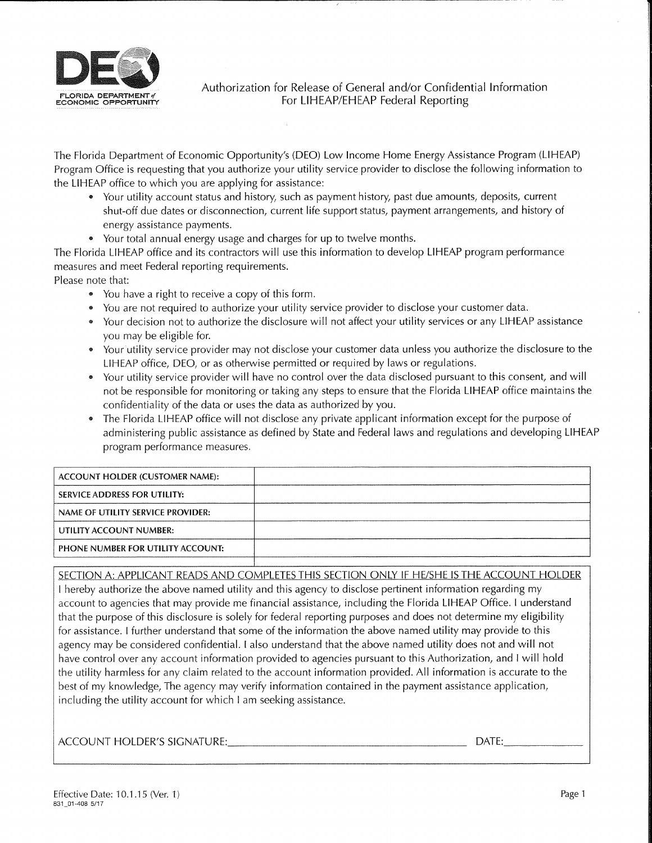

Authorization for Release of General and/or Confidential InformationTE DEPARTMENT IN THE SERVERTHENT TO THE SERVERTHE REPORT OF THE SERVERTHEAP FEDERAL REPORTING

The Florida Department of Economic Opportunity's (DEO) Low Income Home Energy Assistance Program (LIHEAP)Program Office is requesting that you authorize your utility service provider to disclose the following information to the LIHEAP office to which you are applying for assistance:

- Your utility account status and history, such as payment history, past due amounts, deposits, current shut-off due dates or disconnection, current life support status, payment arrangements, and history ofenergy assistance payments.
- ® Your total annual energy usage and charges for up to twelve months.

 The Florida LIHEAP office and its contractors will use this information to develop LIHEAP program performancemeasures and meet Federal reporting requirements.

Please note that:

- You have a right to receive a copy of this form.
- You are not required to authorize your utility service provider to disclose your customer data.
- Your decision not to authorize the disclosure will not affect your utility services or any LIHEAP assistanceyou may be eligible for.
- Your utility service provider may not disclose your customer data unless you authorize the disclosure to th LIHEAP office, DEO, or as otherwise permitted or required by laws or regulations.
- ® Your utility service provider will have no control over the data disclosed pursuant to this consent, and will not be responsible for monitoring or taking any steps to ensure that the Florida LIHEAP office maintains theconfidentiality of the data or uses the data as authorized by you.
- The Florida LIHEAP office will not disclose any private applicant information except for the purpose of administering public assistance as defined by State and Federal laws and regulations and developing LIHEAPprogram performance measures.

## SECTION A: APPLICANT READS AND COMPLETES THIS SECTION ONLY IF HE/SHE IS THE ACCOUNT HOLDER

I hereby authorize the above named utility and this agency to disclose pertinent information regarding myaccount to agencies that may provide me financial assistance, including the Florida LIHEAP Office. I understan that the purpose of this disclosure is solely for federal reporting purposes and does not determine my eligibilityfor assistance. I further understand that some of the information the above named utility may provide to thisagency may be considered confidential. I also understand that the above named utility does not and will nc have control over any account information provided to agencies pursuant to this Authorization, and I will hold the utility harmless for any claim related to the account information provided. All information is accurate to thebest of my knowledge, The agency may verify information contained in the payment assistance application,including the utility account for which I am seeking assistance.

ACCOUNT HOLDER'S SIGNATURE:\_ DATE:\_